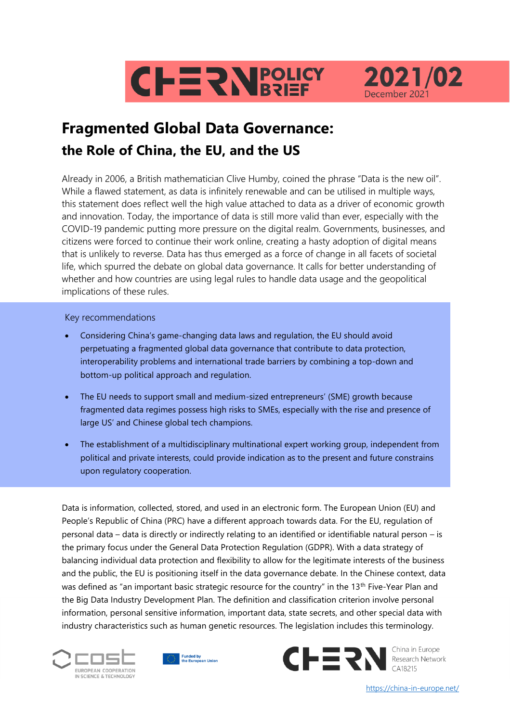



# **Fragmented Global Data Governance: the Role of China, the EU, and the US**

Already in 2006, a British mathematician Clive Humby, coined the phrase "Data is the new oil". While a flawed statement, as data is infinitely renewable and can be utilised in multiple ways, this statement does reflect well the high value attached to data as a driver of economic growth and innovation. Today, the importance of data is still more valid than ever, especially with the COVID-19 pandemic putting more pressure on the digital realm. Governments, businesses, and citizens were forced to continue their work online, creating a hasty adoption of digital means that is unlikely to reverse. Data has thus emerged as a force of change in all facets of societal life, which spurred the debate on global data governance. It calls for better understanding of whether and how countries are using legal rules to handle data usage and the geopolitical implications of these rules.

### Key recommendations

- Considering China's game-changing data laws and regulation, the EU should avoid perpetuating a fragmented global data governance that contribute to data protection, interoperability problems and international trade barriers by combining a top-down and bottom-up political approach and regulation.
- The EU needs to support small and medium-sized entrepreneurs' (SME) growth because fragmented data regimes possess high risks to SMEs, especially with the rise and presence of large US' and Chinese global tech champions.
- The establishment of a multidisciplinary multinational expert working group, independent from political and private interests, could provide indication as to the present and future constrains upon regulatory cooperation.

Data is information, collected, stored, and used in an electronic form. The European Union (EU) and People's Republic of China (PRC) have a different approach towards data. For the EU, regulation of personal data – data is directly or indirectly relating to an identified or identifiable natural person – is the primary focus under the General Data Protection Regulation (GDPR). With a data strategy of balancing individual data protection and flexibility to allow for the legitimate interests of the business and the public, the EU is positioning itself in the data governance debate. In the Chinese context, data was defined as "an important basic strategic resource for the country" in the 13<sup>th</sup> Five-Year Plan and the Big Data Industry Development Plan. The definition and classification criterion involve personal information, personal sensitive information, important data, state secrets, and other special data with industry characteristics such as human genetic resources. The legislation includes this terminology.







https://china-in-europe.net/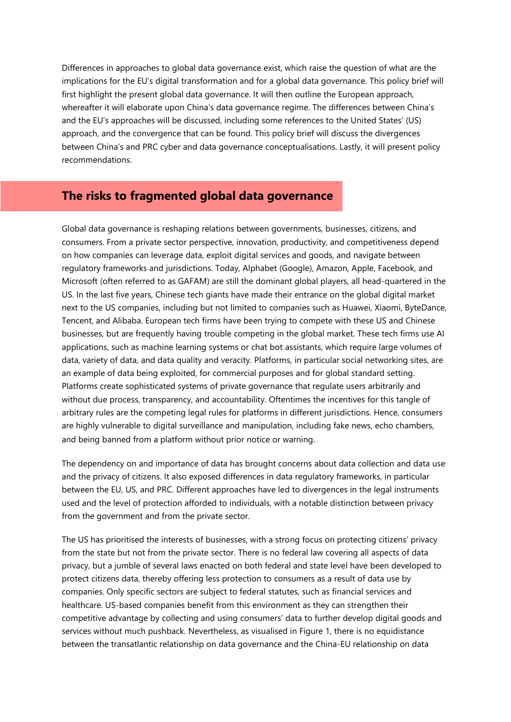Differences in approaches to global data governance exist, which raise the question of what are the implications for the EU's digital transformation and for a global data governance. This policy brief will first highlight the present global data governance. It will then outline the European approach, whereafter it will elaborate upon China's data governance regime. The differences between China's and the EU's approaches will be discussed, including some references to the United States' (US) approach, and the convergence that can be found. This policy brief will discuss the divergences between China's and PRC cyber and data governance conceptualisations. Lastly, it will present policy recommendations.

### **The risks to fragmented global data governance**

Global data governance is reshaping relations between governments, businesses, citizens, and consumers. From a private sector perspective, innovation, productivity, and competitiveness depend on how companies can leverage data, exploit digital services and goods, and navigate between regulatory frameworks and jurisdictions. Today, Alphabet (Google), Amazon, Apple, Facebook, and Microsoft (often referred to as GAFAM) are still the dominant global players, all head-quartered in the US. In the last five years, Chinese tech giants have made their entrance on the global digital market next to the US companies, including but not limited to companies such as Huawei, Xiaomi, ByteDance, Tencent, and Alibaba. European tech firms have been trying to compete with these US and Chinese businesses, but are frequently having trouble competing in the global market. These tech firms use AI applications, such as machine learning systems or chat bot assistants, which require large volumes of data, variety of data, and data quality and veracity. Platforms, in particular social networking sites, are an example of data being exploited, for commercial purposes and for global standard setting. Platforms create sophisticated systems of private governance that regulate users arbitrarily and without due process, transparency, and accountability. Oftentimes the incentives for this tangle of arbitrary rules are the competing legal rules for platforms in different jurisdictions. Hence, consumers are highly vulnerable to digital surveillance and manipulation, including fake news, echo chambers, and being banned from a platform without prior notice or warning.

The dependency on and importance of data has brought concerns about data collection and data use and the privacy of citizens. It also exposed differences in data regulatory frameworks, in particular between the EU, US, and PRC. Different approaches have led to divergences in the legal instruments used and the level of protection afforded to individuals, with a notable distinction between privacy from the government and from the private sector.

The US has prioritised the interests of businesses, with a strong focus on protecting citizens' privacy from the state but not from the private sector. There is no federal law covering all aspects of data privacy, but a jumble of several laws enacted on both federal and state level have been developed to protect citizens data, thereby offering less protection to consumers as a result of data use by companies. Only specific sectors are subject to federal statutes, such as financial services and healthcare. US-based companies benefit from this environment as they can strengthen their competitive advantage by collecting and using consumers' data to further develop digital goods and services without much pushback. Nevertheless, as visualised in Figure 1, there is no equidistance between the transatlantic relationship on data governance and the China-EU relationship on data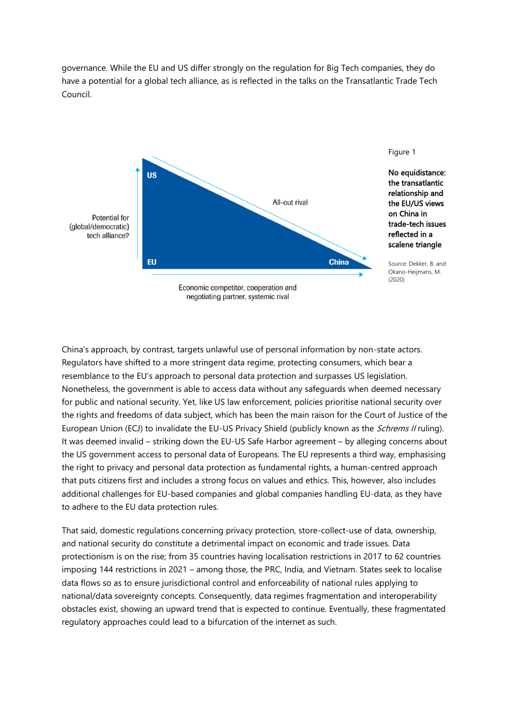governance. While the EU and US differ strongly on the regulation for Big Tech companies, they do have a potential for a global tech alliance, as is reflected in the talks on the Transatlantic Trade Tech Council.



China's approach, by contrast, targets unlawful use of personal information by non-state actors. Regulators have shifted to a more stringent data regime, protecting consumers, which bear a resemblance to the EU's approach to personal data protection and surpasses US legislation. Nonetheless, the government is able to access data without any safeguards when deemed necessary for public and national security. Yet, like US law enforcement, policies prioritise national security over the rights and freedoms of data subject, which has been the main raison for the Court of Justice of the European Union (ECJ) to invalidate the EU-US Privacy Shield (publicly known as the *Schrems II* ruling). It was deemed invalid – striking down the EU-US Safe Harbor agreement – by alleging concerns about the US government access to personal data of Europeans. The EU represents a third way, emphasising the right to privacy and personal data protection as fundamental rights, a human-centred approach that puts citizens first and includes a strong focus on values and ethics. This, however, also includes additional challenges for EU-based companies and global companies handling EU-data, as they have to adhere to the EU data protection rules.

That said, domestic regulations concerning privacy protection, store-collect-use of data, ownership, and national security do constitute a detrimental impact on economic and trade issues. Data protectionism is on the rise; from 35 countries having localisation restrictions in 2017 to 62 countries imposing 144 restrictions in 2021 – among those, the PRC, India, and Vietnam. States seek to localise data flows so as to ensure jurisdictional control and enforceability of national rules applying to national/data sovereignty concepts. Consequently, data regimes fragmentation and interoperability obstacles exist, showing an upward trend that is expected to continue. Eventually, these fragmentated regulatory approaches could lead to a bifurcation of the internet as such.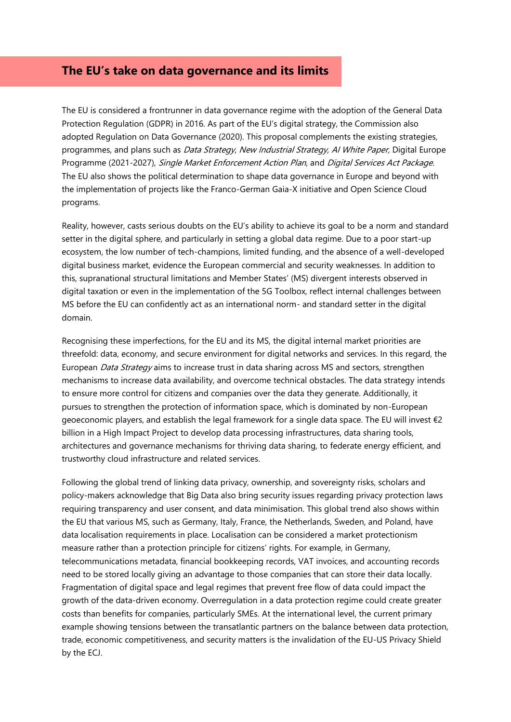### **The EU's take on data governance and its limits**

The EU is considered a frontrunner in data governance regime with the adoption of the General Data Protection Regulation (GDPR) in 2016. As part of the EU's digital strategy, the Commission also adopted Regulation on Data Governance (2020). This proposal complements the existing strategies, programmes, and plans such as *Data Strategy, New Industrial Strategy, AI White Paper*, Digital Europe Programme (2021-2027), Single Market Enforcement Action Plan, and Digital Services Act Package. The EU also shows the political determination to shape data governance in Europe and beyond with the implementation of projects like the Franco-German Gaia-X initiative and Open Science Cloud programs.

Reality, however, casts serious doubts on the EU's ability to achieve its goal to be a norm and standard setter in the digital sphere, and particularly in setting a global data regime. Due to a poor start-up ecosystem, the low number of tech-champions, limited funding, and the absence of a well-developed digital business market, evidence the European commercial and security weaknesses. In addition to this, supranational structural limitations and Member States' (MS) divergent interests observed in digital taxation or even in the implementation of the 5G Toolbox, reflect internal challenges between MS before the EU can confidently act as an international norm- and standard setter in the digital domain.

Recognising these imperfections, for the EU and its MS, the digital internal market priorities are threefold: data, economy, and secure environment for digital networks and services. In this regard, the European *Data Strategy* aims to increase trust in data sharing across MS and sectors, strengthen mechanisms to increase data availability, and overcome technical obstacles. The data strategy intends to ensure more control for citizens and companies over the data they generate. Additionally, it pursues to strengthen the protection of information space, which is dominated by non-European geoeconomic players, and establish the legal framework for a single data space. The EU will invest  $\epsilon_2$ billion in a High Impact Project to develop data processing infrastructures, data sharing tools, architectures and governance mechanisms for thriving data sharing, to federate energy efficient, and trustworthy cloud infrastructure and related services.

Following the global trend of linking data privacy, ownership, and sovereignty risks, scholars and policy-makers acknowledge that Big Data also bring security issues regarding privacy protection laws requiring transparency and user consent, and data minimisation. This global trend also shows within the EU that various MS, such as Germany, Italy, France, the Netherlands, Sweden, and Poland, have data localisation requirements in place. Localisation can be considered a market protectionism measure rather than a protection principle for citizens' rights. For example, in Germany, telecommunications metadata, financial bookkeeping records, VAT invoices, and accounting records need to be stored locally giving an advantage to those companies that can store their data locally. Fragmentation of digital space and legal regimes that prevent free flow of data could impact the growth of the data-driven economy. Overregulation in a data protection regime could create greater costs than benefits for companies, particularly SMEs. At the international level, the current primary example showing tensions between the transatlantic partners on the balance between data protection, trade, economic competitiveness, and security matters is the invalidation of the EU-US Privacy Shield by the ECJ.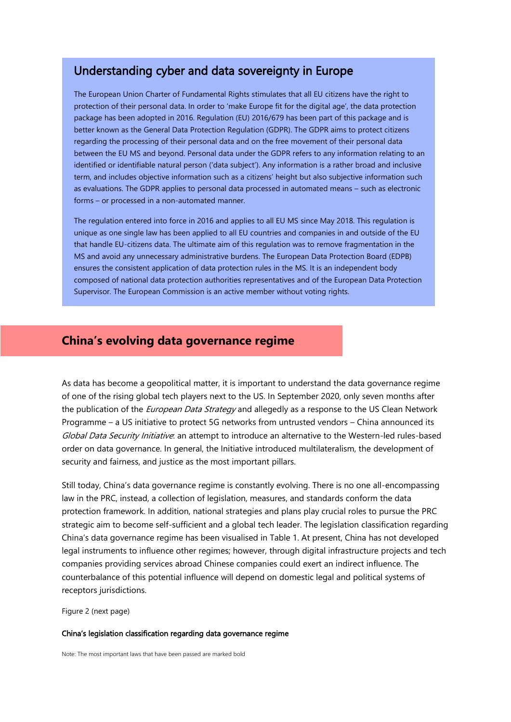### Understanding cyber and data sovereignty in Europe

The European Union Charter of Fundamental Rights stimulates that all EU citizens have the right to protection of their personal data. In order to 'make Europe fit for the digital age', the data protection package has been adopted in 2016. Regulation (EU) 2016/679 has been part of this package and is better known as the General Data Protection Regulation (GDPR). The GDPR aims to protect citizens regarding the processing of their personal data and on the free movement of their personal data between the EU MS and beyond. Personal data under the GDPR refers to any information relating to an identified or identifiable natural person ('data subject'). Any information is a rather broad and inclusive term, and includes objective information such as a citizens' height but also subjective information such as evaluations. The GDPR applies to personal data processed in automated means – such as electronic forms – or processed in a non-automated manner.

The regulation entered into force in 2016 and applies to all EU MS since May 2018. This regulation is unique as one single law has been applied to all EU countries and companies in and outside of the EU that handle EU-citizens data. The ultimate aim of this regulation was to remove fragmentation in the MS and avoid any unnecessary administrative burdens. The European Data Protection Board (EDPB) ensures the consistent application of data protection rules in the MS. It is an independent body composed of national data protection authorities representatives and of the European Data Protection Supervisor. The European Commission is an active member without voting rights.

### **China's evolving data governance regime**

As data has become a geopolitical matter, it is important to understand the data governance regime of one of the rising global tech players next to the US. In September 2020, only seven months after the publication of the *European Data Strategy* and allegedly as a response to the US Clean Network Programme – a US initiative to protect 5G networks from untrusted vendors – China announced its Global Data Security Initiative: an attempt to introduce an alternative to the Western-led rules-based order on data governance. In general, the Initiative introduced multilateralism, the development of security and fairness, and justice as the most important pillars.

Still today, China's data governance regime is constantly evolving. There is no one all-encompassing law in the PRC, instead, a collection of legislation, measures, and standards conform the data protection framework. In addition, national strategies and plans play crucial roles to pursue the PRC strategic aim to become self-sufficient and a global tech leader. The legislation classification regarding China's data governance regime has been visualised in Table 1. At present, China has not developed legal instruments to influence other regimes; however, through digital infrastructure projects and tech companies providing services abroad Chinese companies could exert an indirect influence. The counterbalance of this potential influence will depend on domestic legal and political systems of receptors jurisdictions.

Figure 2 (next page)

#### China's legislation classification regarding data governance regime

Note: The most important laws that have been passed are marked bold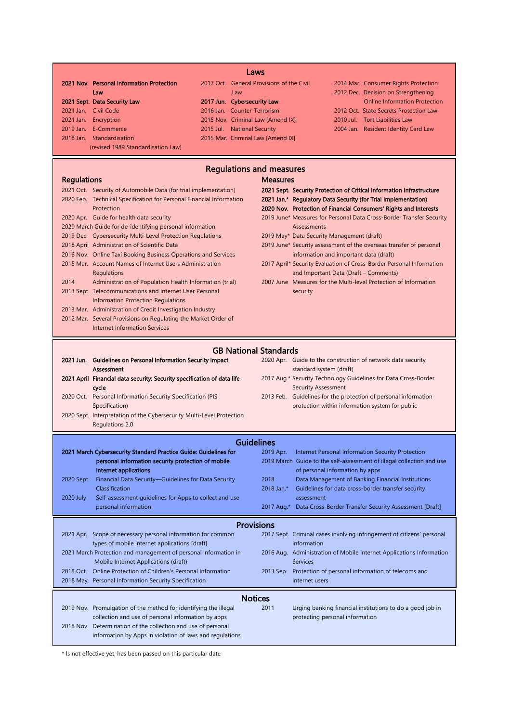| 2021 Nov. Personal Information Protection                                                                                  | Laws<br>2017 Oct. General Provisions of the Civil          |                                                                                                                                     | 2014 Mar. Consumer Rights Protection                                                                               |  |  |  |  |
|----------------------------------------------------------------------------------------------------------------------------|------------------------------------------------------------|-------------------------------------------------------------------------------------------------------------------------------------|--------------------------------------------------------------------------------------------------------------------|--|--|--|--|
| Law<br>2021 Sept. Data Security Law                                                                                        | Law<br>2017 Jun. Cybersecurity Law                         |                                                                                                                                     | 2012 Dec. Decision on Strengthening<br><b>Online Information Protection</b>                                        |  |  |  |  |
| 2021 Jan. Civil Code                                                                                                       | 2016 Jan. Counter-Terrorism                                |                                                                                                                                     | 2012 Oct. State Secrets Protection Law                                                                             |  |  |  |  |
| 2021 Jan. Encryption                                                                                                       | 2015 Nov. Criminal Law [Amend IX]                          |                                                                                                                                     | 2010 Jul. Tort Liabilities Law                                                                                     |  |  |  |  |
| 2019 Jan. E-Commerce                                                                                                       | 2015 Jul. National Security                                |                                                                                                                                     | 2004 Jan. Resident Identity Card Law                                                                               |  |  |  |  |
| 2018 Jan. Standardisation                                                                                                  | 2015 Mar. Criminal Law [Amend IX]                          |                                                                                                                                     |                                                                                                                    |  |  |  |  |
| (revised 1989 Standardisation Law)                                                                                         |                                                            |                                                                                                                                     |                                                                                                                    |  |  |  |  |
| <b>Regulations and measures</b>                                                                                            |                                                            |                                                                                                                                     |                                                                                                                    |  |  |  |  |
| <b>Regulations</b>                                                                                                         |                                                            | <b>Measures</b>                                                                                                                     |                                                                                                                    |  |  |  |  |
| 2021 Oct. Security of Automobile Data (for trial implementation)                                                           |                                                            | 2021 Sept. Security Protection of Critical Information Infrastructure                                                               |                                                                                                                    |  |  |  |  |
| 2020 Feb. Technical Specification for Personal Financial Information<br>Protection                                         |                                                            | 2021 Jan.* Regulatory Data Security (for Trial Implementation)<br>2020 Nov. Protection of Financial Consumers' Rights and Interests |                                                                                                                    |  |  |  |  |
| 2020 Apr. Guide for health data security                                                                                   |                                                            | 2019 June* Measures for Personal Data Cross-Border Transfer Security                                                                |                                                                                                                    |  |  |  |  |
| 2020 March Guide for de-identifying personal information                                                                   |                                                            | Assessments                                                                                                                         |                                                                                                                    |  |  |  |  |
|                                                                                                                            | 2019 Dec. Cybersecurity Multi-Level Protection Regulations |                                                                                                                                     | 2019 May* Data Security Management (draft)                                                                         |  |  |  |  |
| 2018 April Administration of Scientific Data                                                                               |                                                            | 2019 June* Security assessment of the overseas transfer of personal                                                                 |                                                                                                                    |  |  |  |  |
| 2016 Nov. Online Taxi Booking Business Operations and Services<br>2015 Mar. Account Names of Internet Users Administration |                                                            | information and important data (draft)<br>2017 April* Security Evaluation of Cross-Border Personal Information                      |                                                                                                                    |  |  |  |  |
| Regulations                                                                                                                |                                                            |                                                                                                                                     | and Important Data (Draft – Comments)                                                                              |  |  |  |  |
| 2014<br>Administration of Population Health Information (trial)                                                            |                                                            | 2007 June Measures for the Multi-level Protection of Information                                                                    |                                                                                                                    |  |  |  |  |
| 2013 Sept. Telecommunications and Internet User Personal                                                                   |                                                            | security                                                                                                                            |                                                                                                                    |  |  |  |  |
| Information Protection Regulations                                                                                         |                                                            |                                                                                                                                     |                                                                                                                    |  |  |  |  |
| 2013 Mar. Administration of Credit Investigation Industry                                                                  |                                                            |                                                                                                                                     |                                                                                                                    |  |  |  |  |
| 2012 Mar. Several Provisions on Regulating the Market Order of                                                             |                                                            |                                                                                                                                     |                                                                                                                    |  |  |  |  |
| <b>Internet Information Services</b>                                                                                       |                                                            |                                                                                                                                     |                                                                                                                    |  |  |  |  |
| <b>GB National Standards</b>                                                                                               |                                                            |                                                                                                                                     |                                                                                                                    |  |  |  |  |
| 2021 Jun. Guidelines on Personal Information Security Impact                                                               |                                                            |                                                                                                                                     | 2020 Apr. Guide to the construction of network data security                                                       |  |  |  |  |
| <b>Assessment</b>                                                                                                          |                                                            | standard system (draft)                                                                                                             |                                                                                                                    |  |  |  |  |
| 2021 April Financial data security: Security specification of data life                                                    |                                                            |                                                                                                                                     | 2017 Aug.* Security Technology Guidelines for Data Cross-Border                                                    |  |  |  |  |
| cycle                                                                                                                      |                                                            | <b>Security Assessment</b>                                                                                                          |                                                                                                                    |  |  |  |  |
| 2020 Oct. Personal Information Security Specification (PIS<br>Specification)                                               |                                                            |                                                                                                                                     | 2013 Feb. Guidelines for the protection of personal information<br>protection within information system for public |  |  |  |  |
| 2020 Sept. Interpretation of the Cybersecurity Multi-Level Protection                                                      |                                                            |                                                                                                                                     |                                                                                                                    |  |  |  |  |
| Regulations 2.0                                                                                                            |                                                            |                                                                                                                                     |                                                                                                                    |  |  |  |  |
| <b>Guidelines</b>                                                                                                          |                                                            |                                                                                                                                     |                                                                                                                    |  |  |  |  |
| 2021 March Cybersecurity Standard Practice Guide: Guidelines for                                                           |                                                            | 2019 Apr.                                                                                                                           | Internet Personal Information Security Protection                                                                  |  |  |  |  |
| personal information security protection of mobile                                                                         |                                                            |                                                                                                                                     | 2019 March Guide to the self-assessment of illegal collection and use                                              |  |  |  |  |
| internet applications                                                                                                      |                                                            |                                                                                                                                     | of personal information by apps                                                                                    |  |  |  |  |
| Financial Data Security-Guidelines for Data Security<br>2020 Sept.                                                         |                                                            | 2018                                                                                                                                | Data Management of Banking Financial Institutions                                                                  |  |  |  |  |
| Classification                                                                                                             |                                                            | 2018 Jan.*                                                                                                                          | Guidelines for data cross-border transfer security                                                                 |  |  |  |  |
| 2020 July<br>Self-assessment guidelines for Apps to collect and use                                                        |                                                            | assessment                                                                                                                          |                                                                                                                    |  |  |  |  |
| personal information                                                                                                       |                                                            |                                                                                                                                     | 2017 Aug.* Data Cross-Border Transfer Security Assessment [Draft]                                                  |  |  |  |  |
| <b>Provisions</b>                                                                                                          |                                                            |                                                                                                                                     |                                                                                                                    |  |  |  |  |
| 2021 Apr Scope of necessary personal information for common                                                                |                                                            |                                                                                                                                     | 2017 Sept Criminal cases involving infringement of citizens' personal                                              |  |  |  |  |

|  | 2021 Apr. Scope of necessary personal information for common                                            |                | 2017 Sept. Criminal cases involving infringement of citizens' personal                  |
|--|---------------------------------------------------------------------------------------------------------|----------------|-----------------------------------------------------------------------------------------|
|  | types of mobile internet applications [draft]                                                           |                | information                                                                             |
|  | 2021 March Protection and management of personal information in<br>Mobile Internet Applications (draft) |                | 2016 Aug. Administration of Mobile Internet Applications Information<br><b>Services</b> |
|  | 2018 Oct. Online Protection of Children's Personal Information                                          |                | 2013 Sep. Protection of personal information of telecoms and                            |
|  | 2018 May. Personal Information Security Specification                                                   |                | internet users                                                                          |
|  |                                                                                                         | <b>Notices</b> |                                                                                         |
|  | 2019 Nov. Promulgation of the method for identifying the illegal                                        | 2011           | Urging banking financial institutions to do a good job in                               |
|  | collection and use of personal information by apps                                                      |                | protecting personal information                                                         |
|  | 2018 Nov. Determination of the collection and use of personal                                           |                |                                                                                         |
|  | information by Apps in violation of laws and regulations                                                |                |                                                                                         |

\* Is not effective yet, has been passed on this particular date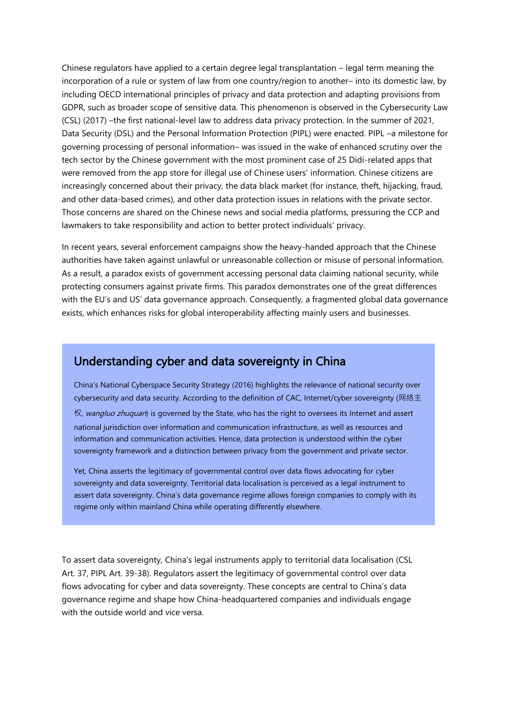Chinese regulators have applied to a certain degree legal transplantation – legal term meaning the incorporation of a rule or system of law from one country/region to another– into its domestic law, by including OECD international principles of privacy and data protection and adapting provisions from GDPR, such as broader scope of sensitive data. This phenomenon is observed in the Cybersecurity Law (CSL) (2017) –the first national-level law to address data privacy protection. In the summer of 2021, Data Security (DSL) and the Personal Information Protection (PIPL) were enacted. PIPL –a milestone for governing processing of personal information– was issued in the wake of enhanced scrutiny over the tech sector by the Chinese government with the most prominent case of 25 Didi-related apps that were removed from the app store for illegal use of Chinese users' information. Chinese citizens are increasingly concerned about their privacy, the data black market (for instance, theft, hijacking, fraud, and other data-based crimes), and other data protection issues in relations with the private sector. Those concerns are shared on the Chinese news and social media platforms, pressuring the CCP and lawmakers to take responsibility and action to better protect individuals' privacy.

In recent years, several enforcement campaigns show the heavy-handed approach that the Chinese authorities have taken against unlawful or unreasonable collection or misuse of personal information. As a result, a paradox exists of government accessing personal data claiming national security, while protecting consumers against private firms. This paradox demonstrates one of the great differences with the EU's and US' data governance approach. Consequently, a fragmented global data governance exists, which enhances risks for global interoperability affecting mainly users and businesses.

# Understanding cyber and data sovereignty in China

China's National Cyberspace Security Strategy (2016) highlights the relevance of national security over cybersecurity and data security. According to the definition of CAC, Internet/cyber sovereignty (网络主 权, wangluo zhuquan) is governed by the State, who has the right to oversees its Internet and assert national jurisdiction over information and communication infrastructure, as well as resources and information and communication activities. Hence, data protection is understood within the cyber sovereignty framework and a distinction between privacy from the government and private sector.

Yet, China asserts the legitimacy of governmental control over data flows advocating for cyber sovereignty and data sovereignty. Territorial data localisation is perceived as a legal instrument to assert data sovereignty. China's data governance regime allows foreign companies to comply with its regime only within mainland China while operating differently elsewhere.

To assert data sovereignty, China's legal instruments apply to territorial data localisation (CSL Art. 37, PIPL Art. 39-38). Regulators assert the legitimacy of governmental control over data flows advocating for cyber and data sovereignty. These concepts are central to China's data governance regime and shape how China-headquartered companies and individuals engage with the outside world and vice versa.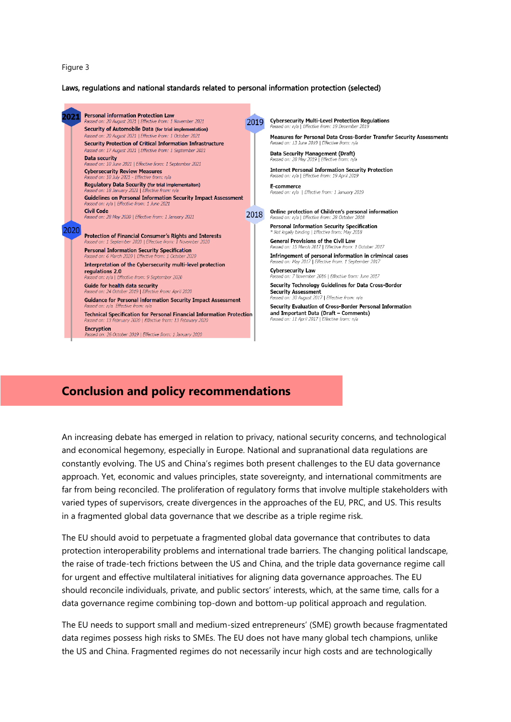#### Figure 3

#### Laws, regulations and national standards related to personal information protection (selected)



# **Conclusion and policy recommendations**

An increasing debate has emerged in relation to privacy, national security concerns, and technological and economical hegemony, especially in Europe. National and supranational data regulations are constantly evolving. The US and China's regimes both present challenges to the EU data governance approach. Yet, economic and values principles, state sovereignty, and international commitments are far from being reconciled. The proliferation of regulatory forms that involve multiple stakeholders with varied types of supervisors, create divergences in the approaches of the EU, PRC, and US. This results in a fragmented global data governance that we describe as a triple regime risk.

The EU should avoid to perpetuate a fragmented global data governance that contributes to data protection interoperability problems and international trade barriers. The changing political landscape, the raise of trade-tech frictions between the US and China, and the triple data governance regime call for urgent and effective multilateral initiatives for aligning data governance approaches. The EU should reconcile individuals, private, and public sectors' interests, which, at the same time, calls for a data governance regime combining top-down and bottom-up political approach and regulation.

The EU needs to support small and medium-sized entrepreneurs' (SME) growth because fragmentated data regimes possess high risks to SMEs. The EU does not have many global tech champions, unlike the US and China. Fragmented regimes do not necessarily incur high costs and are technologically